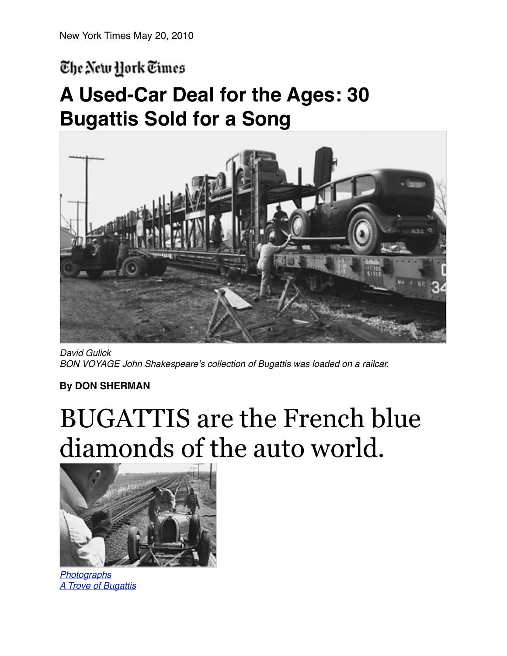## The New York Times

## **A Used-Car Deal for the Ages: 30 Bugattis Sold for a Song**



*David Gulick BON VOYAGE John Shakespeare*'*s collection of Bugattis was loaded on a railcar.*

## **By [DON SHERMAN](http://query.nytimes.com/search/query?ppds=bylL&v1=DON%20SHERMAN&fdq=19960101&td=sysdate&sort=newest&ac=DON%20SHERMAN&inline=nyt-per)**

## BUGATTIS are the French blue diamonds of the auto world.



*[Photographs](http://www.nytimes.com/interactive/2010/05/23/automobiles/collectibles/20100523-bugatti.html?ref=collectibles) [A Trove of Bugattis](http://www.nytimes.com/interactive/2010/05/23/automobiles/collectibles/20100523-bugatti.html?ref=collectibles)*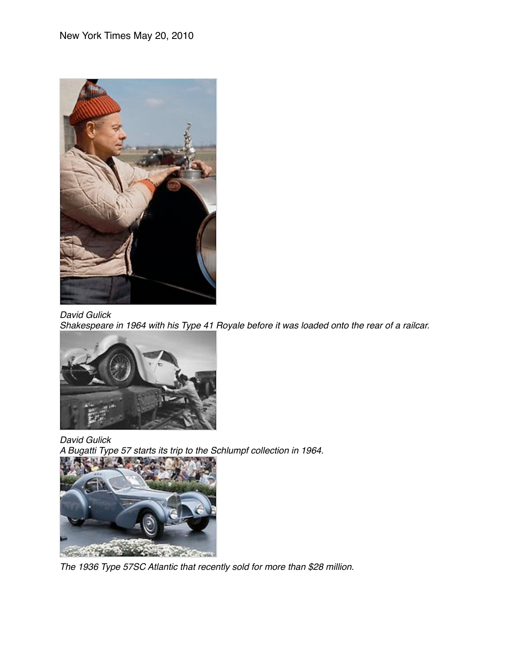

*David Gulick*

*Shakespeare in 1964 with his Type 41 Royale before it was loaded onto the rear of a railcar.*



*David Gulick A Bugatti Type 57 starts its trip to the Schlumpf collection in 1964.*



*The 1936 Type 57SC Atlantic that recently sold for more than \$28 million.*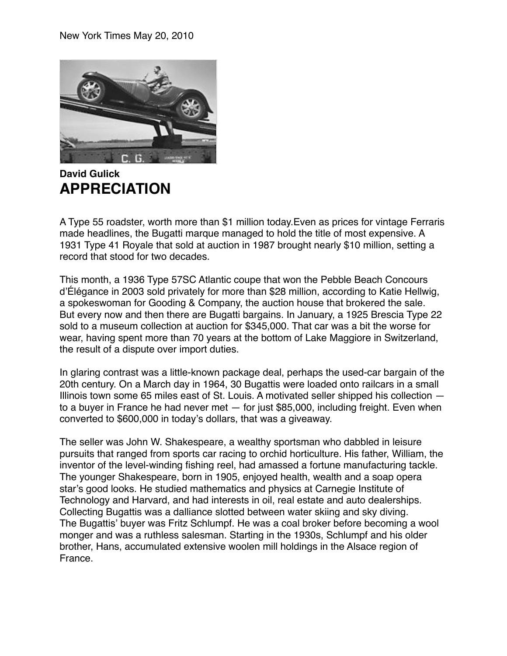

**David Gulick APPRECIATION** 

A Type 55 roadster, worth more than \$1 million today.Even as prices for vintage Ferraris made headlines, the Bugatti marque managed to hold the title of most expensive. A 1931 Type 41 Royale that sold at auction in 1987 brought nearly \$10 million, setting a record that stood for two decades.

This month, a 1936 Type 57SC Atlantic coupe that won the Pebble Beach Concours d'Élégance in 2003 sold privately for more than \$28 million, according to Katie Hellwig, a spokeswoman for Gooding & Company, the auction house that brokered the sale. But every now and then there are Bugatti bargains. In January, a 1925 Brescia Type 22 sold to a museum collection at auction for \$345,000. That car was a bit the worse for wear, having spent more than 70 years at the bottom of Lake Maggiore in Switzerland, the result of a dispute over import duties.

In glaring contrast was a little-known package deal, perhaps the used-car bargain of the 20th century. On a March day in 1964, 30 Bugattis were loaded onto railcars in a small Illinois town some 65 miles east of St. Louis. A motivated seller shipped his collection to a buyer in France he had never met — for just \$85,000, including freight. Even when converted to \$600,000 in today's dollars, that was a giveaway.

The seller was John W. [Shakespeare](http://topics.nytimes.com/top/reference/timestopics/people/s/william_shakespeare/index.html?inline=nyt-per), a wealthy sportsman who dabbled in leisure pursuits that ranged from sports car racing to orchid horticulture. His father, William, the inventor of the level-winding fishing reel, had amassed a fortune manufacturing tackle. The younger Shakespeare, born in 1905, enjoyed health, wealth and a soap opera star's good looks. He studied mathematics and physics at Carnegie Institute of Technology and Harvard, and had interests in oil, real estate and auto dealerships. Collecting Bugattis was a dalliance slotted between water skiing and sky diving. The Bugattis' buyer was Fritz Schlumpf. He was a coal broker before becoming a wool monger and was a ruthless salesman. Starting in the 1930s, Schlumpf and his older brother, Hans, accumulated extensive woolen mill holdings in the Alsace region of France.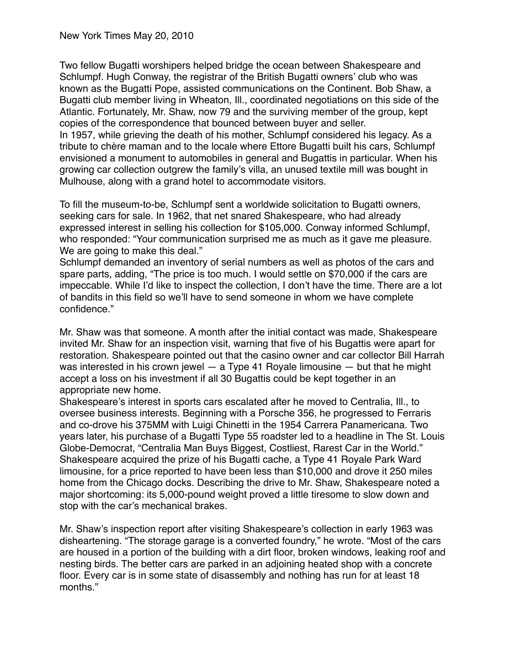Two fellow Bugatti worshipers helped bridge the ocean between Shakespeare and Schlumpf. Hugh Conway, the registrar of the British Bugatti owners' club who was known as the Bugatti Pope, assisted communications on the Continent. Bob Shaw, a Bugatti club member living in Wheaton, Ill., coordinated negotiations on this side of the Atlantic. Fortunately, Mr. Shaw, now 79 and the surviving member of the group, kept copies of the correspondence that bounced between buyer and seller. In 1957, while grieving the death of his mother, Schlumpf considered his legacy. As a

tribute to chère maman and to the locale where Ettore Bugatti built his cars, Schlumpf envisioned a monument to automobiles in general and Bugattis in particular. When his growing car collection outgrew the family's villa, an unused textile mill was bought in Mulhouse, along with a grand hotel to accommodate visitors.

To fill the museum-to-be, Schlumpf sent a worldwide solicitation to Bugatti owners, seeking cars for sale. In 1962, that net snared Shakespeare, who had already expressed interest in selling his collection for \$105,000. Conway informed Schlumpf, who responded: "Your communication surprised me as much as it gave me pleasure. We are going to make this deal."

Schlumpf demanded an inventory of serial numbers as well as photos of the cars and spare parts, adding, "The price is too much. I would settle on \$70,000 if the cars are impeccable. While I'd like to inspect the collection, I don't have the time. There are a lot of bandits in this field so we'll have to send someone in whom we have complete confidence."

Mr. Shaw was that someone. A month after the initial contact was made, Shakespeare invited Mr. Shaw for an inspection visit, warning that five of his Bugattis were apart for restoration. Shakespeare pointed out that the casino owner and car collector Bill Harrah was interested in his crown jewel — a Type 41 Royale limousine — but that he might accept a loss on his investment if all 30 Bugattis could be kept together in an appropriate new home.

Shakespeare's interest in sports cars escalated after he moved to Centralia, Ill., to oversee business interests. Beginning with a Porsche 356, he progressed to Ferraris and co-drove his 375MM with Luigi Chinetti in the 1954 Carrera Panamericana. Two years later, his purchase of a Bugatti Type 55 roadster led to a headline in The St. Louis Globe-Democrat, "Centralia Man Buys Biggest, Costliest, Rarest Car in the World." Shakespeare acquired the prize of his Bugatti cache, a Type 41 Royale Park Ward limousine, for a price reported to have been less than \$10,000 and drove it 250 miles home from the Chicago docks. Describing the drive to Mr. Shaw, Shakespeare noted a major shortcoming: its 5,000-pound weight proved a little tiresome to slow down and stop with the car's mechanical brakes.

Mr. Shaw's inspection report after visiting Shakespeare's collection in early 1963 was disheartening. "The storage garage is a converted foundry," he wrote. "Most of the cars are housed in a portion of the building with a dirt floor, broken windows, leaking roof and nesting birds. The better cars are parked in an adjoining heated shop with a concrete floor. Every car is in some state of disassembly and nothing has run for at least 18 months."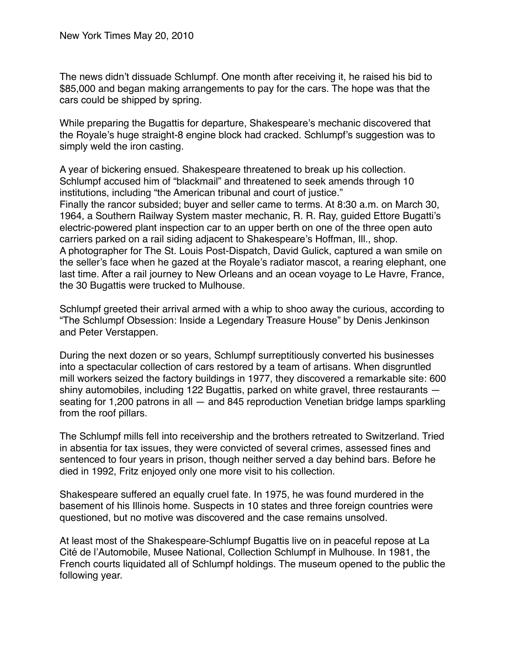The news didn't dissuade Schlumpf. One month after receiving it, he raised his bid to \$85,000 and began making arrangements to pay for the cars. The hope was that the cars could be shipped by spring.

While preparing the Bugattis for departure, Shakespeare's mechanic discovered that the Royale's huge straight-8 engine block had cracked. Schlumpf's suggestion was to simply weld the iron casting.

A year of bickering ensued. Shakespeare threatened to break up his collection. Schlumpf accused him of "blackmail" and threatened to seek amends through 10 institutions, including "the American tribunal and court of justice." Finally the rancor subsided; buyer and seller came to terms. At 8:30 a.m. on March 30, 1964, a Southern Railway System master mechanic, R. R. Ray, guided Ettore Bugatti's electric-powered plant inspection car to an upper berth on one of the three open auto carriers parked on a rail siding adjacent to Shakespeare's Hoffman, Ill., shop. A photographer for The St. Louis Post-Dispatch, David Gulick, captured a wan smile on the seller's face when he gazed at the Royale's radiator mascot, a rearing elephant, one last time. After a rail journey to New Orleans and an ocean voyage to Le Havre, France, the 30 Bugattis were trucked to Mulhouse.

Schlumpf greeted their arrival armed with a whip to shoo away the curious, according to "The Schlumpf Obsession: Inside a Legendary Treasure House" by Denis Jenkinson and Peter Verstappen.

During the next dozen or so years, Schlumpf surreptitiously converted his businesses into a spectacular collection of cars restored by a team of artisans. When disgruntled mill workers seized the factory buildings in 1977, they discovered a remarkable site: 600 shiny automobiles, including 122 Bugattis, parked on white gravel, three restaurants seating for 1,200 patrons in all — and 845 reproduction Venetian bridge lamps sparkling from the roof pillars.

The Schlumpf mills fell into receivership and the brothers retreated to Switzerland. Tried in absentia for tax issues, they were convicted of several crimes, assessed fines and sentenced to four years in prison, though neither served a day behind bars. Before he died in 1992, Fritz enjoyed only one more visit to his collection.

Shakespeare suffered an equally cruel fate. In 1975, he was found murdered in the basement of his Illinois home. Suspects in 10 states and three foreign countries were questioned, but no motive was discovered and the case remains unsolved.

At least most of the Shakespeare-Schlumpf Bugattis live on in peaceful repose at La Cité de l'Automobile, Musee National, Collection Schlumpf in Mulhouse. In 1981, the French courts liquidated all of Schlumpf holdings. The museum opened to the public the following year.